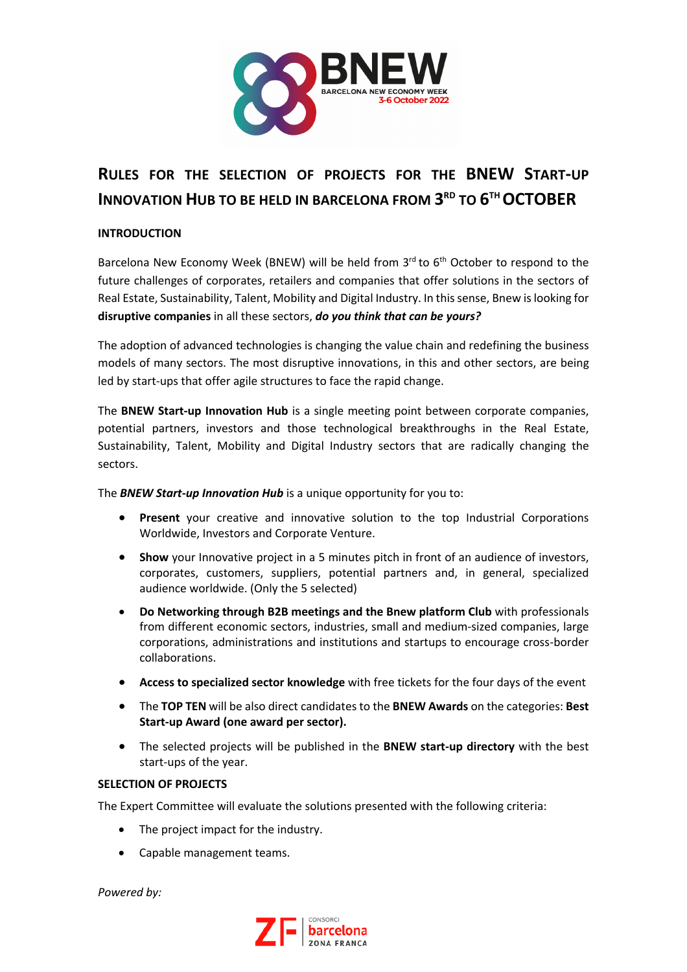

# **RULES FOR THE SELECTION OF PROJECTS FOR THE BNEW START-UP INNOVATION HUB TO BE HELD IN BARCELONA FROM 3RD TO 6THOCTOBER**

## **INTRODUCTION**

Barcelona New Economy Week (BNEW) will be held from  $3<sup>rd</sup>$  to 6<sup>th</sup> October to respond to the future challenges of corporates, retailers and companies that offer solutions in the sectors of Real Estate, Sustainability, Talent, Mobility and Digital Industry. In this sense, Bnew is looking for **disruptive companies** in all these sectors, *do you think that can be yours?*

The adoption of advanced technologies is changing the value chain and redefining the business models of many sectors. The most disruptive innovations, in this and other sectors, are being led by start-ups that offer agile structures to face the rapid change.

The **BNEW Start-up Innovation Hub** is a single meeting point between corporate companies, potential partners, investors and those technological breakthroughs in the Real Estate, Sustainability, Talent, Mobility and Digital Industry sectors that are radically changing the sectors.

The *BNEW Start-up Innovation Hub* is a unique opportunity for you to:

- **Present** your creative and innovative solution to the top Industrial Corporations Worldwide, Investors and Corporate Venture.
- **Show** your Innovative project in a 5 minutes pitch in front of an audience of investors, corporates, customers, suppliers, potential partners and, in general, specialized audience worldwide. (Only the 5 selected)
- **Do Networking through B2B meetings and the Bnew platform Club** with professionals from different economic sectors, industries, small and medium-sized companies, large corporations, administrations and institutions and startups to encourage cross-border collaborations.
- **Access to specialized sector knowledge** with free tickets for the four days of the event
- The **TOP TEN** will be also direct candidates to the **BNEW Awards** on the categories: **Best Start-up Award (one award per sector).**
- The selected projects will be published in the **BNEW start-up directory** with the best start-ups of the year.

## **SELECTION OF PROJECTS**

The Expert Committee will evaluate the solutions presented with the following criteria:

- The project impact for the industry.
- Capable management teams.

*Powered by:*